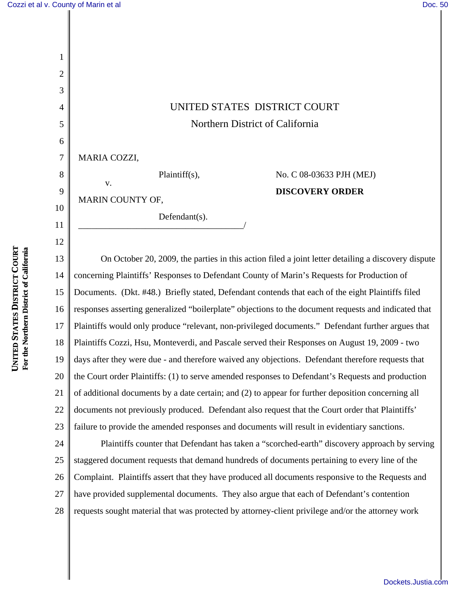1

2

3

4

5

6

8

9

10

11

12

## UNITED STATES DISTRICT COURT Northern District of California

7 MARIA COZZI,

Plaintiff(s),

\_\_\_\_\_\_\_\_\_\_\_\_\_\_\_\_\_\_\_\_\_\_\_\_\_\_\_\_\_\_\_\_\_\_\_\_\_/

MARIN COUNTY OF,

v.

Defendant(s).

No. C 08-03633 PJH (MEJ) **DISCOVERY ORDER**

13 14 15 16 17 18 19 20 21 22 23 On October 20, 2009, the parties in this action filed a joint letter detailing a discovery dispute concerning Plaintiffs' Responses to Defendant County of Marin's Requests for Production of Documents. (Dkt. #48.) Briefly stated, Defendant contends that each of the eight Plaintiffs filed responses asserting generalized "boilerplate" objections to the document requests and indicated that Plaintiffs would only produce "relevant, non-privileged documents." Defendant further argues that Plaintiffs Cozzi, Hsu, Monteverdi, and Pascale served their Responses on August 19, 2009 - two days after they were due - and therefore waived any objections. Defendant therefore requests that the Court order Plaintiffs: (1) to serve amended responses to Defendant's Requests and production of additional documents by a date certain; and (2) to appear for further deposition concerning all documents not previously produced. Defendant also request that the Court order that Plaintiffs' failure to provide the amended responses and documents will result in evidentiary sanctions.

24 25 26 27 28 Plaintiffs counter that Defendant has taken a "scorched-earth" discovery approach by serving staggered document requests that demand hundreds of documents pertaining to every line of the Complaint. Plaintiffs assert that they have produced all documents responsive to the Requests and have provided supplemental documents. They also argue that each of Defendant's contention requests sought material that was protected by attorney-client privilege and/or the attorney work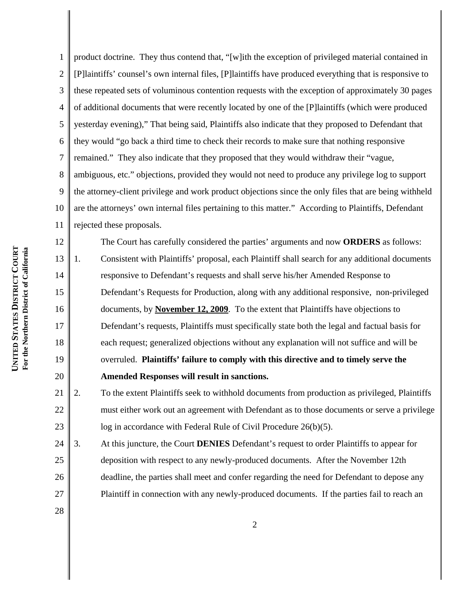1 2 3 4 5 6 7 8 9 10 11 product doctrine. They thus contend that, "[w]ith the exception of privileged material contained in [P]laintiffs' counsel's own internal files, [P]laintiffs have produced everything that is responsive to these repeated sets of voluminous contention requests with the exception of approximately 30 pages of additional documents that were recently located by one of the [P]laintiffs (which were produced yesterday evening)," That being said, Plaintiffs also indicate that they proposed to Defendant that they would "go back a third time to check their records to make sure that nothing responsive remained." They also indicate that they proposed that they would withdraw their "vague, ambiguous, etc." objections, provided they would not need to produce any privilege log to support the attorney-client privilege and work product objections since the only files that are being withheld are the attorneys' own internal files pertaining to this matter." According to Plaintiffs, Defendant rejected these proposals.

12 13 14 15 16 17 18 19 20 The Court has carefully considered the parties' arguments and now **ORDERS** as follows: 1. Consistent with Plaintiffs' proposal, each Plaintiff shall search for any additional documents responsive to Defendant's requests and shall serve his/her Amended Response to Defendant's Requests for Production, along with any additional responsive, non-privileged documents, by **November 12, 2009**. To the extent that Plaintiffs have objections to Defendant's requests, Plaintiffs must specifically state both the legal and factual basis for each request; generalized objections without any explanation will not suffice and will be overruled. **Plaintiffs' failure to comply with this directive and to timely serve the Amended Responses will result in sanctions.**

21 22 23 2. To the extent Plaintiffs seek to withhold documents from production as privileged, Plaintiffs must either work out an agreement with Defendant as to those documents or serve a privilege log in accordance with Federal Rule of Civil Procedure 26(b)(5).

24 25 26 27 3. At this juncture, the Court **DENIES** Defendant's request to order Plaintiffs to appear for deposition with respect to any newly-produced documents. After the November 12th deadline, the parties shall meet and confer regarding the need for Defendant to depose any Plaintiff in connection with any newly-produced documents. If the parties fail to reach an

28

2